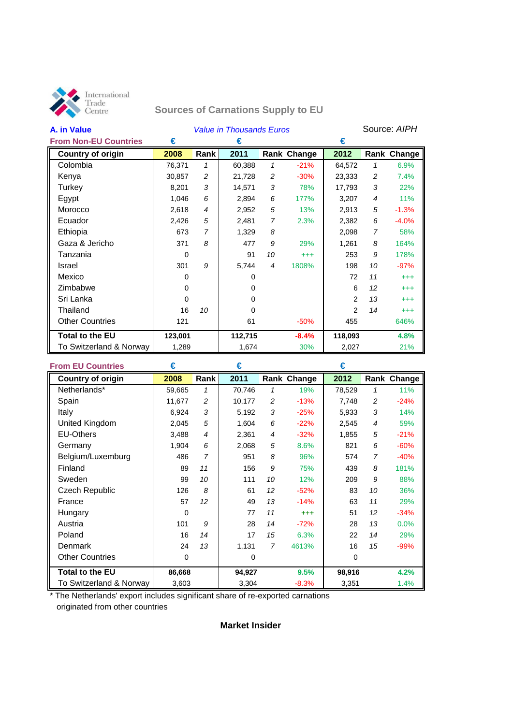

# **Sources of Carnations Supply to EU**

| A. in Value                  | <b>Value in Thousands Euros</b> |                |          |    | Source: AIPH       |         |                |             |
|------------------------------|---------------------------------|----------------|----------|----|--------------------|---------|----------------|-------------|
| <b>From Non-EU Countries</b> | €                               |                | €        |    |                    | €       |                |             |
| Country of origin            | 2008                            | Rank           | 2011     |    | <b>Rank Change</b> | 2012    |                | Rank Change |
| Colombia                     | 76,371                          | $\mathbf{1}$   | 60,388   | 1  | $-21%$             | 64,572  | 1              | 6.9%        |
| Kenya                        | 30,857                          | 2              | 21,728   | 2  | $-30%$             | 23,333  | 2              | 7.4%        |
| Turkey                       | 8,201                           | 3              | 14,571   | 3  | 78%                | 17,793  | 3              | 22%         |
| Egypt                        | 1,046                           | 6              | 2,894    | 6  | 177%               | 3,207   | $\overline{4}$ | 11%         |
| Morocco                      | 2,618                           | 4              | 2,952    | 5  | 13%                | 2,913   | 5              | $-1.3%$     |
| Ecuador                      | 2,426                           | 5              | 2,481    | 7  | 2.3%               | 2,382   | 6              | $-4.0%$     |
| Ethiopia                     | 673                             | $\overline{7}$ | 1,329    | 8  |                    | 2,098   | $\overline{7}$ | 58%         |
| Gaza & Jericho               | 371                             | 8              | 477      | 9  | 29%                | 1,261   | 8              | 164%        |
| Tanzania                     | 0                               |                | 91       | 10 | $^{+++}$           | 253     | 9              | 178%        |
| Israel                       | 301                             | 9              | 5,744    | 4  | 1808%              | 198     | 10             | $-97%$      |
| Mexico                       | 0                               |                | 0        |    |                    | 72      | 11             | $^{+++}$    |
| Zimbabwe                     | 0                               |                | 0        |    |                    | 6       | 12             | $^{+++}$    |
| Sri Lanka                    | $\Omega$                        |                | 0        |    |                    | 2       | 13             | $^{+++}$    |
| Thailand                     | 16                              | 10             | $\Omega$ |    |                    | 2       | 14             | $^{+++}$    |
| <b>Other Countries</b>       | 121                             |                | 61       |    | $-50%$             | 455     |                | 646%        |
| <b>Total to the EU</b>       | 123,001                         |                | 112,715  |    | $-8.4%$            | 118,093 |                | 4.8%        |
| To Switzerland & Norway      | 1,289                           |                | 1,674    |    | 30%                | 2,027   |                | 21%         |

| <b>From EU Countries</b> | €      |                | €      |    |             | €      |                |             |
|--------------------------|--------|----------------|--------|----|-------------|--------|----------------|-------------|
| <b>Country of origin</b> | 2008   | Rank           | 2011   |    | Rank Change | 2012   |                | Rank Change |
| Netherlands*             | 59,665 | $\mathbf{1}$   | 70,746 | 1  | 19%         | 78,529 | 1              | 11%         |
| Spain                    | 11,677 | 2              | 10,177 | 2  | $-13%$      | 7,748  | 2              | $-24%$      |
| Italy                    | 6,924  | 3              | 5,192  | 3  | $-25%$      | 5,933  | 3              | 14%         |
| United Kingdom           | 2,045  | 5              | 1,604  | 6  | $-22%$      | 2,545  | $\overline{4}$ | 59%         |
| <b>EU-Others</b>         | 3,488  | $\overline{4}$ | 2,361  | 4  | $-32%$      | 1,855  | 5              | $-21%$      |
| Germany                  | 1,904  | 6              | 2,068  | 5  | 8.6%        | 821    | 6              | $-60%$      |
| Belgium/Luxemburg        | 486    | $\overline{7}$ | 951    | 8  | 96%         | 574    | 7              | $-40%$      |
| Finland                  | 89     | 11             | 156    | 9  | 75%         | 439    | 8              | 181%        |
| Sweden                   | 99     | 10             | 111    | 10 | 12%         | 209    | 9              | 88%         |
| Czech Republic           | 126    | 8              | 61     | 12 | $-52%$      | 83     | 10             | 36%         |
| France                   | 57     | 12             | 49     | 13 | $-14%$      | 63     | 11             | 29%         |
| Hungary                  | 0      |                | 77     | 11 | $^{+++}$    | 51     | 12             | $-34%$      |
| Austria                  | 101    | 9              | 28     | 14 | $-72%$      | 28     | 13             | 0.0%        |
| Poland                   | 16     | 14             | 17     | 15 | 6.3%        | 22     | 14             | 29%         |
| Denmark                  | 24     | 13             | 1,131  | 7  | 4613%       | 16     | 15             | $-99%$      |
| <b>Other Countries</b>   | 0      |                | 0      |    |             | 0      |                |             |
| <b>Total to the EU</b>   | 86,668 |                | 94,927 |    | 9.5%        | 98,916 |                | 4.2%        |
| To Switzerland & Norway  | 3,603  |                | 3,304  |    | $-8.3%$     | 3,351  |                | 1.4%        |

\* The Netherlands' export includes significant share of re-exported carnations originated from other countries

## **Market Insider**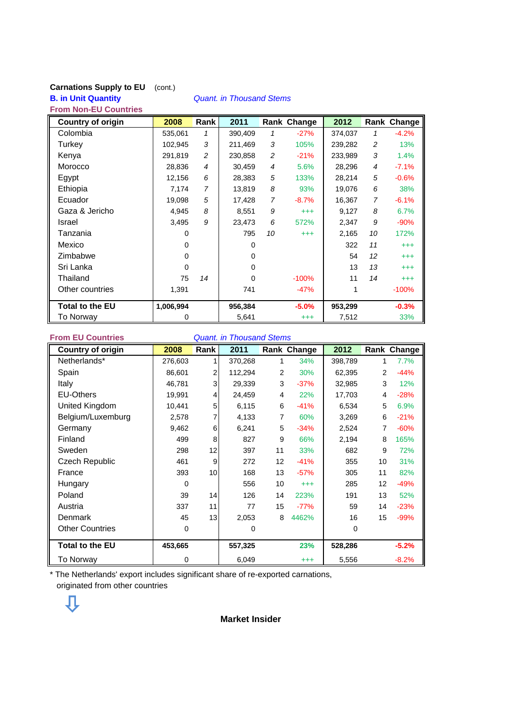#### **Carnations Supply to EU** (cont.) **B. in Unit Quantity** *Quant. in Thousand Stems* **From Non-EU Countries**

| <b>Country of origin</b> | 2008      | Rank           | 2011    |                | Rank Change | 2012    |                | Rank Change |
|--------------------------|-----------|----------------|---------|----------------|-------------|---------|----------------|-------------|
| Colombia                 | 535,061   | 1              | 390,409 | 1              | $-27%$      | 374,037 | 1              | $-4.2%$     |
| Turkey                   | 102,945   | 3              | 211,469 | 3              | 105%        | 239,282 | 2              | 13%         |
| Kenya                    | 291,819   | $\overline{c}$ | 230,858 | 2              | $-21%$      | 233,989 | 3              | 1.4%        |
| Morocco                  | 28,836    | 4              | 30.459  | $\overline{4}$ | 5.6%        | 28,296  | $\overline{4}$ | $-7.1%$     |
| Egypt                    | 12,156    | 6              | 28,383  | 5              | 133%        | 28,214  | 5              | $-0.6%$     |
| Ethiopia                 | 7,174     | $\overline{7}$ | 13,819  | 8              | 93%         | 19,076  | 6              | 38%         |
| Ecuador                  | 19,098    | 5              | 17,428  | $\overline{7}$ | $-8.7%$     | 16,367  | 7              | $-6.1%$     |
| Gaza & Jericho           | 4,945     | 8              | 8,551   | 9              | $^{+++}$    | 9,127   | 8              | 6.7%        |
| Israel                   | 3,495     | 9              | 23,473  | 6              | 572%        | 2,347   | 9              | $-90%$      |
| Tanzania                 | 0         |                | 795     | 10             | $^{+++}$    | 2,165   | 10             | 172%        |
| Mexico                   | 0         |                | 0       |                |             | 322     | 11             | $^{+++}$    |
| Zimbabwe                 | 0         |                | 0       |                |             | 54      | 12             | $^{+++}$    |
| Sri Lanka                | 0         |                | 0       |                |             | 13      | 13             | $^{+++}$    |
| Thailand                 | 75        | 14             | 0       |                | $-100%$     | 11      | 14             | $^{+++}$    |
| Other countries          | 1,391     |                | 741     |                | $-47%$      | 1       |                | $-100%$     |
| <b>Total to the EU</b>   | 1,006,994 |                | 956,384 |                | $-5.0%$     | 953,299 |                | $-0.3%$     |
| To Norway                | 0         |                | 5,641   |                | $^{+++}$    | 7,512   |                | 33%         |

**From EU Countries** *Quant. in Thousand Stems*

| <b>Country of origin</b> | 2008        | <b>Rank</b>    | 2011    |                | Rank Change | 2012    |    | Rank Change |
|--------------------------|-------------|----------------|---------|----------------|-------------|---------|----|-------------|
| Netherlands*             | 276,603     |                | 370,268 | 1              | 34%         | 398,789 | 1  | 7.7%        |
| Spain                    | 86,601      | 2              | 112,294 | 2              | 30%         | 62,395  | 2  | $-44%$      |
| Italy                    | 46,781      | 3              | 29,339  | 3              | $-37%$      | 32,985  | 3  | 12%         |
| <b>EU-Others</b>         | 19,991      | $\overline{4}$ | 24,459  | $\overline{4}$ | 22%         | 17,703  | 4  | $-28%$      |
| United Kingdom           | 10,441      | 5              | 6,115   | 6              | $-41%$      | 6,534   | 5  | 6.9%        |
| Belgium/Luxemburg        | 2,578       | 7              | 4,133   | 7              | 60%         | 3,269   | 6  | $-21%$      |
| Germany                  | 9,462       | 6              | 6,241   | 5              | $-34%$      | 2,524   | 7  | $-60%$      |
| Finland                  | 499         | 8              | 827     | 9              | 66%         | 2,194   | 8  | 165%        |
| Sweden                   | 298         | 12             | 397     | 11             | 33%         | 682     | 9  | 72%         |
| <b>Czech Republic</b>    | 461         | 9              | 272     | 12             | $-41%$      | 355     | 10 | 31%         |
| France                   | 393         | 10             | 168     | 13             | $-57%$      | 305     | 11 | 82%         |
| Hungary                  | $\Omega$    |                | 556     | 10             | $^{+++}$    | 285     | 12 | $-49%$      |
| Poland                   | 39          | 14             | 126     | 14             | 223%        | 191     | 13 | 52%         |
| Austria                  | 337         | 11             | 77      | 15             | $-77%$      | 59      | 14 | $-23%$      |
| Denmark                  | 45          | 13             | 2,053   | 8              | 4462%       | 16      | 15 | $-99%$      |
| <b>Other Countries</b>   | $\mathbf 0$ |                | 0       |                |             | 0       |    |             |
| <b>Total to the EU</b>   | 453,665     |                | 557,325 |                | 23%         | 528,286 |    | $-5.2%$     |
| To Norway                | 0           |                | 6,049   |                | $^{+++}$    | 5,556   |    | $-8.2%$     |

\* The Netherlands' export includes significant share of re-exported carnations, originated from other countries



**Market Insider**